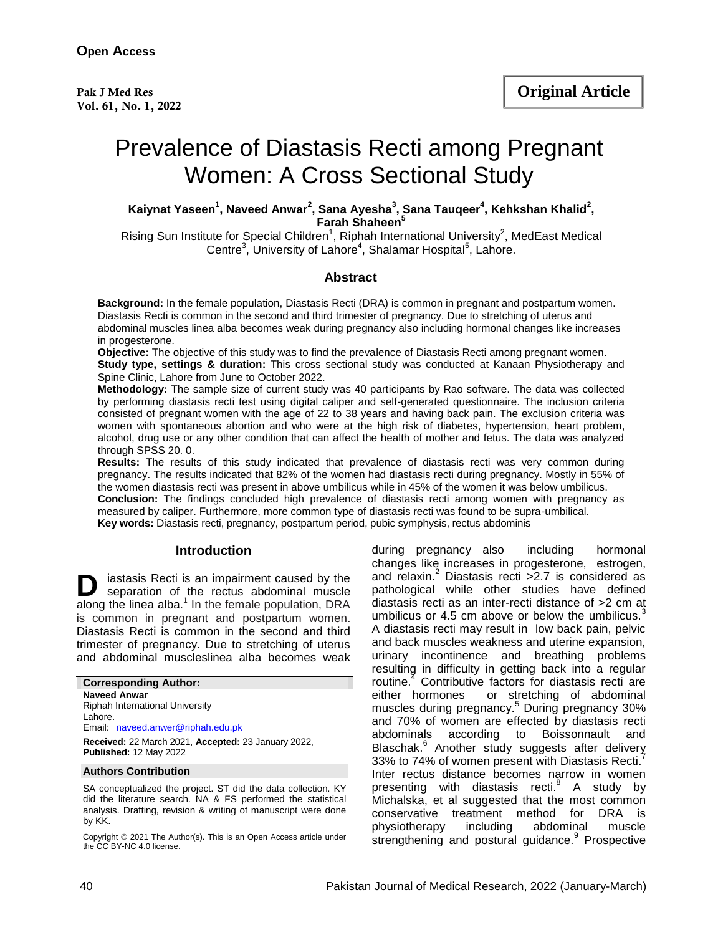# Prevalence of Diastasis Recti among Pregnant Women: A Cross Sectional Study

**Kaiynat Yaseen<sup>1</sup> , Naveed Anwar<sup>2</sup> , Sana Ayesha<sup>3</sup> , Sana Tauqeer<sup>4</sup> , Kehkshan Khalid<sup>2</sup> , Farah Shaheen<sup>5</sup>**

Rising Sun Institute for Special Children<sup>1</sup>, Riphah International University<sup>2</sup>, MedEast Medical Centre<sup>3</sup>, University of Lahore<sup>4</sup>, Shalamar Hospital<sup>5</sup>, Lahore.

#### **Abstract**

**Background:** In the female population, Diastasis Recti (DRA) is common in pregnant and postpartum women. Diastasis Recti is common in the second and third trimester of pregnancy. Due to stretching of uterus and abdominal muscles linea alba becomes weak during pregnancy also including hormonal changes like increases in progesterone.

**Objective:** The objective of this study was to find the prevalence of Diastasis Recti among pregnant women. **Study type, settings & duration:** This cross sectional study was conducted at Kanaan Physiotherapy and Spine Clinic, Lahore from June to October 2022.

**Methodology:** The sample size of current study was 40 participants by Rao software. The data was collected by performing diastasis recti test using digital caliper and self-generated questionnaire. The inclusion criteria consisted of pregnant women with the age of 22 to 38 years and having back pain. The exclusion criteria was women with spontaneous abortion and who were at the high risk of diabetes, hypertension, heart problem, alcohol, drug use or any other condition that can affect the health of mother and fetus. The data was analyzed through SPSS 20. 0.

**Results:** The results of this study indicated that prevalence of diastasis recti was very common during pregnancy. The results indicated that 82% of the women had diastasis recti during pregnancy. Mostly in 55% of the women diastasis recti was present in above umbilicus while in 45% of the women it was below umbilicus. **Conclusion:** The findings concluded high prevalence of diastasis recti among women with pregnancy as measured by caliper. Furthermore, more common type of diastasis recti was found to be supra-umbilical. **Key words:** Diastasis recti, pregnancy, postpartum period, pubic symphysis, rectus abdominis

#### **Introduction**

iastasis Recti is an impairment caused by the separation of the rectus abdominal muscle along the linea alba. $<sup>1</sup>$  In the female population, DRA</sup> is common in pregnant and postpartum women. Diastasis Recti is common in the second and third trimester of pregnancy. Due to stretching of uterus and abdominal muscleslinea alba becomes weak **D**

**Corresponding Author: Naveed Anwar** Riphah International University Lahore. Email: [naveed.anwer@riphah.edu.pk](mailto:naveed.anwer@riphah.edu.pk)  **Received:** 22 March 2021, **Accepted:** 23 January 2022, **Published:** 12 May 2022

#### **Authors Contribution**

SA conceptualized the project. ST did the data collection. KY did the literature search. NA & FS performed the statistical analysis. Drafting, revision & writing of manuscript were done by KK.

Copyright © 2021 The Author(s). This is an Open Access article under the CC BY-NC 4.0 license.

during pregnancy also including hormonal changes like increases in progesterone, estrogen, and relaxin.<sup>2</sup> Diastasis recti  $>2.7$  is considered as pathological while other studies have defined diastasis recti as an inter-recti distance of >2 cm at umbilicus or 4.5 cm above or below the umbilicus. $3$ A diastasis recti may result in low back pain, pelvic and back muscles weakness and uterine expansion, urinary incontinence and breathing problems resulting in difficulty in getting back into a regular routine. <sup>4</sup> Contributive factors for diastasis recti are either hormones or stretching of abdominal muscles during pregnancy.<sup>5</sup> During pregnancy 30% and 70% of women are effected by diastasis recti abdominals according to Boissonnault and Blaschak.<sup>6</sup> Another study suggests after delivery 33% to 74% of women present with Diastasis Recti.<sup>7</sup> Inter rectus distance becomes narrow in women presenting with diastasis recti.<sup>8</sup> A study by Michalska, et al suggested that the most common conservative treatment method for DRA is physiotherapy including abdominal muscle strengthening and postural guidance.<sup>9</sup> Prospective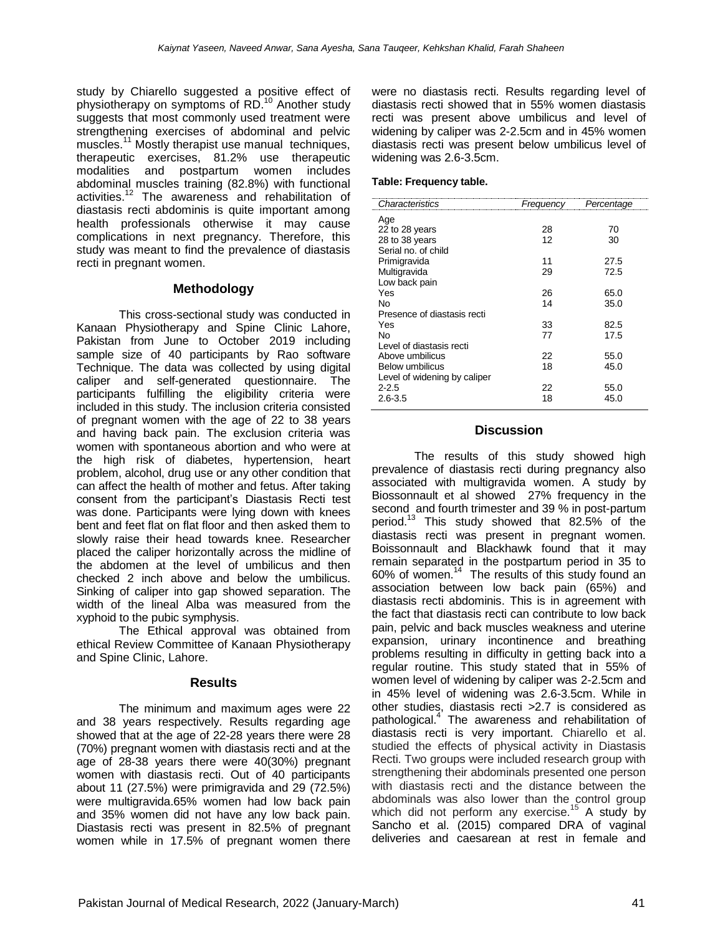study by Chiarello suggested a positive effect of physiotherapy on symptoms of RD.<sup>10</sup> Another study suggests that most commonly used treatment were strengthening exercises of abdominal and pelvic muscles.<sup>11</sup> Mostly therapist use manual techniques, therapeutic exercises, 81.2% use therapeutic modalities and postpartum women includes abdominal muscles training (82.8%) with functional activities.<sup>12</sup> The awareness and rehabilitation of diastasis recti abdominis is quite important among health professionals otherwise it may cause complications in next pregnancy. Therefore, this study was meant to find the prevalence of diastasis recti in pregnant women.

# **Methodology**

This cross-sectional study was conducted in Kanaan Physiotherapy and Spine Clinic Lahore, Pakistan from June to October 2019 including sample size of 40 participants by Rao software Technique. The data was collected by using digital caliper and self-generated questionnaire. The participants fulfilling the eligibility criteria were included in this study. The inclusion criteria consisted of pregnant women with the age of 22 to 38 years and having back pain. The exclusion criteria was women with spontaneous abortion and who were at the high risk of diabetes, hypertension, heart problem, alcohol, drug use or any other condition that can affect the health of mother and fetus. After taking consent from the participant's Diastasis Recti test was done. Participants were lying down with knees bent and feet flat on flat floor and then asked them to slowly raise their head towards knee. Researcher placed the caliper horizontally across the midline of the abdomen at the level of umbilicus and then checked 2 inch above and below the umbilicus. Sinking of caliper into gap showed separation. The width of the lineal Alba was measured from the xyphoid to the pubic symphysis.

The Ethical approval was obtained from ethical Review Committee of Kanaan Physiotherapy and Spine Clinic, Lahore.

## **Results**

The minimum and maximum ages were 22 and 38 years respectively. Results regarding age showed that at the age of 22-28 years there were 28 (70%) pregnant women with diastasis recti and at the age of 28-38 years there were 40(30%) pregnant women with diastasis recti. Out of 40 participants about 11 (27.5%) were primigravida and 29 (72.5%) were multigravida.65% women had low back pain and 35% women did not have any low back pain. Diastasis recti was present in 82.5% of pregnant women while in 17.5% of pregnant women there

were no diastasis recti. Results regarding level of diastasis recti showed that in 55% women diastasis recti was present above umbilicus and level of widening by caliper was 2-2.5cm and in 45% women diastasis recti was present below umbilicus level of widening was 2.6-3.5cm.

### **Table: Frequency table.**

| Frequency | Percentage |
|-----------|------------|
|           |            |
| 28        | 70         |
| 12        | 30         |
|           |            |
| 11        | 27.5       |
| 29        | 72.5       |
|           |            |
| 26        | 65.0       |
| 14        | 35.0       |
|           |            |
| 33        | 82.5       |
| 77        | 17.5       |
|           |            |
| 22        | 55.0       |
| 18        | 45.0       |
|           |            |
| 22        | 55.0       |
| 18        | 45.0       |
|           |            |

# **Discussion**

The results of this study showed high prevalence of diastasis recti during pregnancy also associated with multigravida women. A study by Biossonnault et al showed 27% frequency in the second and fourth trimester and 39 % in post-partum period.<sup>13</sup> This study showed that 82.5% of the diastasis recti was present in pregnant women. Boissonnault and Blackhawk found that it may remain separated in the postpartum period in 35 to 60% of women.<sup>14</sup> The results of this study found an association between low back pain (65%) and diastasis recti abdominis. This is in agreement with the fact that diastasis recti can contribute to low back pain, pelvic and back muscles weakness and uterine expansion, urinary incontinence and breathing problems resulting in difficulty in getting back into a regular routine. This study stated that in 55% of women level of widening by caliper was 2-2.5cm and in 45% level of widening was 2.6-3.5cm. While in other studies, diastasis recti >2.7 is considered as pathological.<sup>4</sup> The awareness and rehabilitation of diastasis recti is very important. Chiarello et al. studied the effects of physical activity in Diastasis Recti. Two groups were included research group with strengthening their abdominals presented one person with diastasis recti and the distance between the abdominals was also lower than the control group which did not perform any exercise.<sup>15</sup> A study by Sancho et al. (2015) compared DRA of vaginal deliveries and caesarean at rest in female and